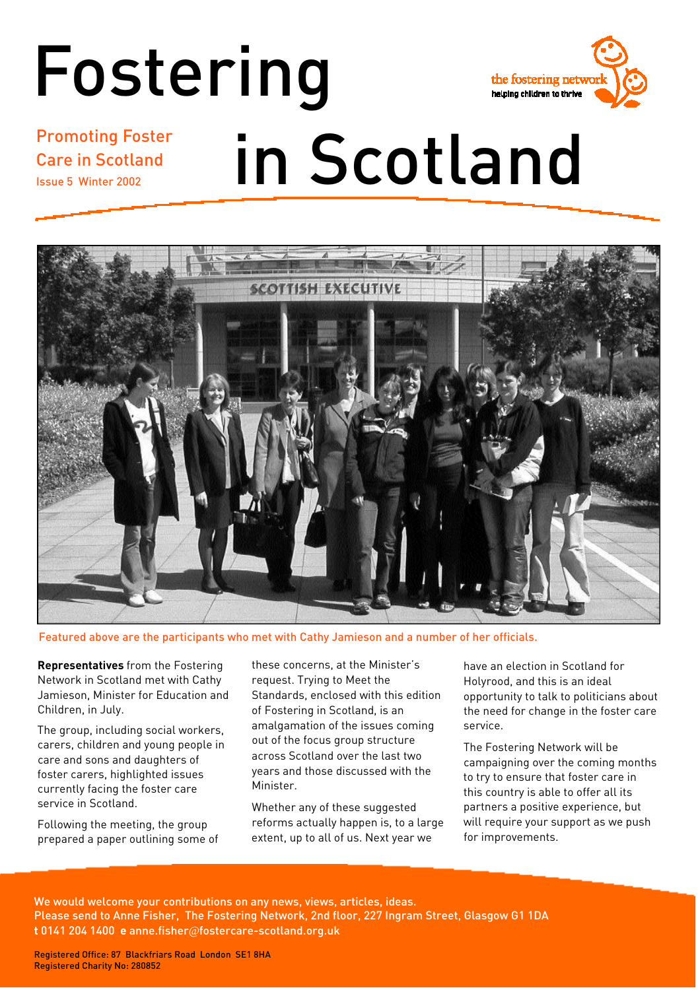# Fostering



Promoting Foster Care in Scotland Issue 5 Winter 2002

# in Scotland



Featured above are the participants who met with Cathy Jamieson and a number of her officials.

**Representatives** from the Fostering Network in Scotland met with Cathy Jamieson, Minister for Education and Children, in July.

The group, including social workers, carers, children and young people in care and sons and daughters of foster carers, highlighted issues currently facing the foster care service in Scotland.

Following the meeting, the group prepared a paper outlining some of these concerns, at the Minister's request. Trying to Meet the Standards, enclosed with this edition of Fostering in Scotland, is an amalgamation of the issues coming out of the focus group structure across Scotland over the last two years and those discussed with the Minister.

Whether any of these suggested reforms actually happen is, to a large extent, up to all of us. Next year we

have an election in Scotland for Holyrood, and this is an ideal opportunity to talk to politicians about the need for change in the foster care service.

The Fostering Network will be campaigning over the coming months to try to ensure that foster care in this country is able to offer all its partners a positive experience, but will require your support as we push for improvements.

We would welcome your contributions on any news, views, articles, ideas. Please send to Anne Fisher, The Fostering Network, 2nd floor, 227 Ingram Street, Glasgow G1 1DA **t** 0141 204 1400 **e** anne.fisher@fostercare-scotland.org.uk

Registered Office: 87 Blackfriars Road London SE1 8HA Registered Charity No: 280852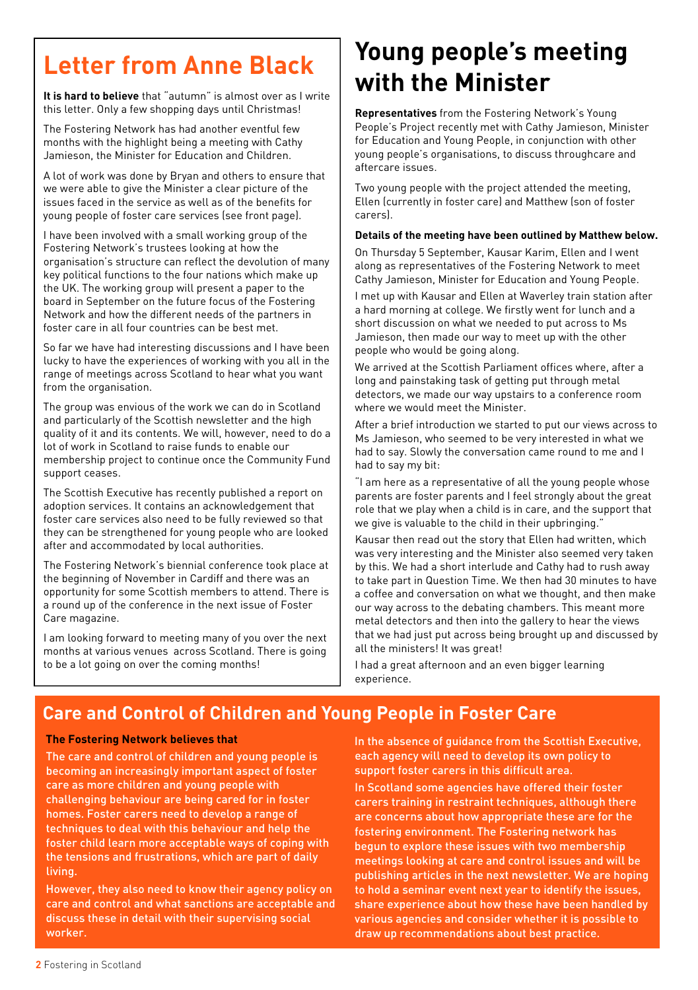## **Letter from Anne Black**

**It is hard to believe** that "autumn" is almost over as I write this letter. Only a few shopping days until Christmas!

The Fostering Network has had another eventful few months with the highlight being a meeting with Cathy Jamieson, the Minister for Education and Children.

A lot of work was done by Bryan and others to ensure that we were able to give the Minister a clear picture of the issues faced in the service as well as of the benefits for young people of foster care services (see front page).

I have been involved with a small working group of the Fostering Network's trustees looking at how the organisation's structure can reflect the devolution of many key political functions to the four nations which make up the UK. The working group will present a paper to the board in September on the future focus of the Fostering Network and how the different needs of the partners in foster care in all four countries can be best met.

So far we have had interesting discussions and I have been lucky to have the experiences of working with you all in the range of meetings across Scotland to hear what you want from the organisation.

The group was envious of the work we can do in Scotland and particularly of the Scottish newsletter and the high quality of it and its contents. We will, however, need to do a lot of work in Scotland to raise funds to enable our membership project to continue once the Community Fund support ceases.

The Scottish Executive has recently published a report on adoption services. It contains an acknowledgement that foster care services also need to be fully reviewed so that they can be strengthened for young people who are looked after and accommodated by local authorities.

The Fostering Network's biennial conference took place at the beginning of November in Cardiff and there was an opportunity for some Scottish members to attend. There is a round up of the conference in the next issue of Foster Care magazine.

I am looking forward to meeting many of you over the next months at various venues across Scotland. There is going to be a lot going on over the coming months!

## **Young people's meeting with the Minister**

**Representatives** from the Fostering Network's Young People's Project recently met with Cathy Jamieson, Minister for Education and Young People, in conjunction with other young people's organisations, to discuss throughcare and aftercare issues.

Two young people with the project attended the meeting, Ellen (currently in foster care) and Matthew (son of foster carers).

#### **Details of the meeting have been outlined by Matthew below.**

On Thursday 5 September, Kausar Karim, Ellen and I went along as representatives of the Fostering Network to meet Cathy Jamieson, Minister for Education and Young People.

I met up with Kausar and Ellen at Waverley train station after a hard morning at college. We firstly went for lunch and a short discussion on what we needed to put across to Ms Jamieson, then made our way to meet up with the other people who would be going along.

We arrived at the Scottish Parliament offices where, after a long and painstaking task of getting put through metal detectors, we made our way upstairs to a conference room where we would meet the Minister.

After a brief introduction we started to put our views across to Ms Jamieson, who seemed to be very interested in what we had to say. Slowly the conversation came round to me and I had to say my bit:

"I am here as a representative of all the young people whose parents are foster parents and I feel strongly about the great role that we play when a child is in care, and the support that we give is valuable to the child in their upbringing."

Kausar then read out the story that Ellen had written, which was very interesting and the Minister also seemed very taken by this. We had a short interlude and Cathy had to rush away to take part in Question Time. We then had 30 minutes to have a coffee and conversation on what we thought, and then make our way across to the debating chambers. This meant more metal detectors and then into the gallery to hear the views that we had just put across being brought up and discussed by all the ministers! It was great!

I had a great afternoon and an even bigger learning experience.

## **Care and Control of Children and Young People in Foster Care**

#### **The Fostering Network believes that**

The care and control of children and young people is becoming an increasingly important aspect of foster care as more children and young people with challenging behaviour are being cared for in foster homes. Foster carers need to develop a range of techniques to deal with this behaviour and help the foster child learn more acceptable ways of coping with the tensions and frustrations, which are part of daily living.

However, they also need to know their agency policy on care and control and what sanctions are acceptable and discuss these in detail with their supervising social worker.

In the absence of guidance from the Scottish Executive, each agency will need to develop its own policy to support foster carers in this difficult area.

In Scotland some agencies have offered their foster carers training in restraint techniques, although there are concerns about how appropriate these are for the fostering environment. The Fostering network has begun to explore these issues with two membership meetings looking at care and control issues and will be publishing articles in the next newsletter. We are hoping to hold a seminar event next year to identify the issues, share experience about how these have been handled by various agencies and consider whether it is possible to draw up recommendations about best practice.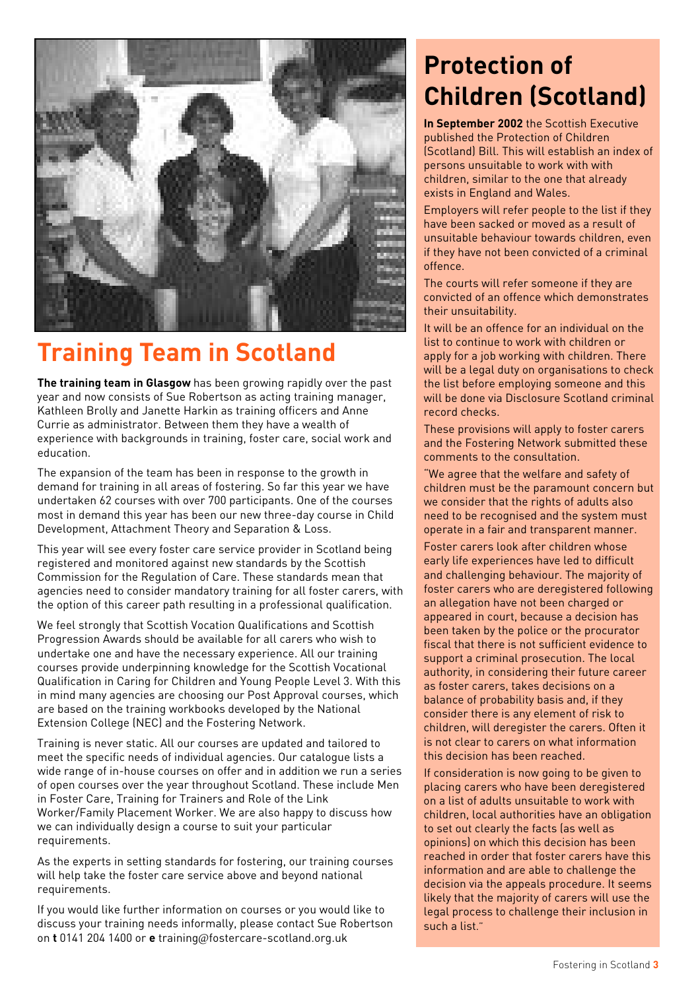

## **Training Team in Scotland**

**The training team in Glasgow** has been growing rapidly over the past year and now consists of Sue Robertson as acting training manager, Kathleen Brolly and Janette Harkin as training officers and Anne Currie as administrator. Between them they have a wealth of experience with backgrounds in training, foster care, social work and education.

The expansion of the team has been in response to the growth in demand for training in all areas of fostering. So far this year we have undertaken 62 courses with over 700 participants. One of the courses most in demand this year has been our new three-day course in Child Development, Attachment Theory and Separation & Loss.

This year will see every foster care service provider in Scotland being registered and monitored against new standards by the Scottish Commission for the Regulation of Care. These standards mean that agencies need to consider mandatory training for all foster carers, with the option of this career path resulting in a professional qualification.

We feel strongly that Scottish Vocation Qualifications and Scottish Progression Awards should be available for all carers who wish to undertake one and have the necessary experience. All our training courses provide underpinning knowledge for the Scottish Vocational Qualification in Caring for Children and Young People Level 3. With this in mind many agencies are choosing our Post Approval courses, which are based on the training workbooks developed by the National Extension College (NEC) and the Fostering Network.

Training is never static. All our courses are updated and tailored to meet the specific needs of individual agencies. Our catalogue lists a wide range of in-house courses on offer and in addition we run a series of open courses over the year throughout Scotland. These include Men in Foster Care, Training for Trainers and Role of the Link Worker/Family Placement Worker. We are also happy to discuss how we can individually design a course to suit your particular requirements.

As the experts in setting standards for fostering, our training courses will help take the foster care service above and beyond national requirements.

If you would like further information on courses or you would like to discuss your training needs informally, please contact Sue Robertson on **t** 0141 204 1400 or **e** training@fostercare-scotland.org.uk

## **Protection of Children (Scotland)**

**In September 2002** the Scottish Executive published the Protection of Children (Scotland) Bill. This will establish an index of persons unsuitable to work with with children, similar to the one that already exists in England and Wales.

Employers will refer people to the list if they have been sacked or moved as a result of unsuitable behaviour towards children, even if they have not been convicted of a criminal offence.

The courts will refer someone if they are convicted of an offence which demonstrates their unsuitability.

It will be an offence for an individual on the list to continue to work with children or apply for a job working with children. There will be a legal duty on organisations to check the list before employing someone and this will be done via Disclosure Scotland criminal record checks.

These provisions will apply to foster carers and the Fostering Network submitted these comments to the consultation.

"We agree that the welfare and safety of children must be the paramount concern but we consider that the rights of adults also need to be recognised and the system must operate in a fair and transparent manner.

Foster carers look after children whose early life experiences have led to difficult and challenging behaviour. The majority of foster carers who are deregistered following an allegation have not been charged or appeared in court, because a decision has been taken by the police or the procurator fiscal that there is not sufficient evidence to support a criminal prosecution. The local authority, in considering their future career as foster carers, takes decisions on a balance of probability basis and, if they consider there is any element of risk to children, will deregister the carers. Often it is not clear to carers on what information this decision has been reached.

If consideration is now going to be given to placing carers who have been deregistered on a list of adults unsuitable to work with children, local authorities have an obligation to set out clearly the facts (as well as opinions) on which this decision has been reached in order that foster carers have this information and are able to challenge the decision via the appeals procedure. It seems likely that the majority of carers will use the legal process to challenge their inclusion in such a list."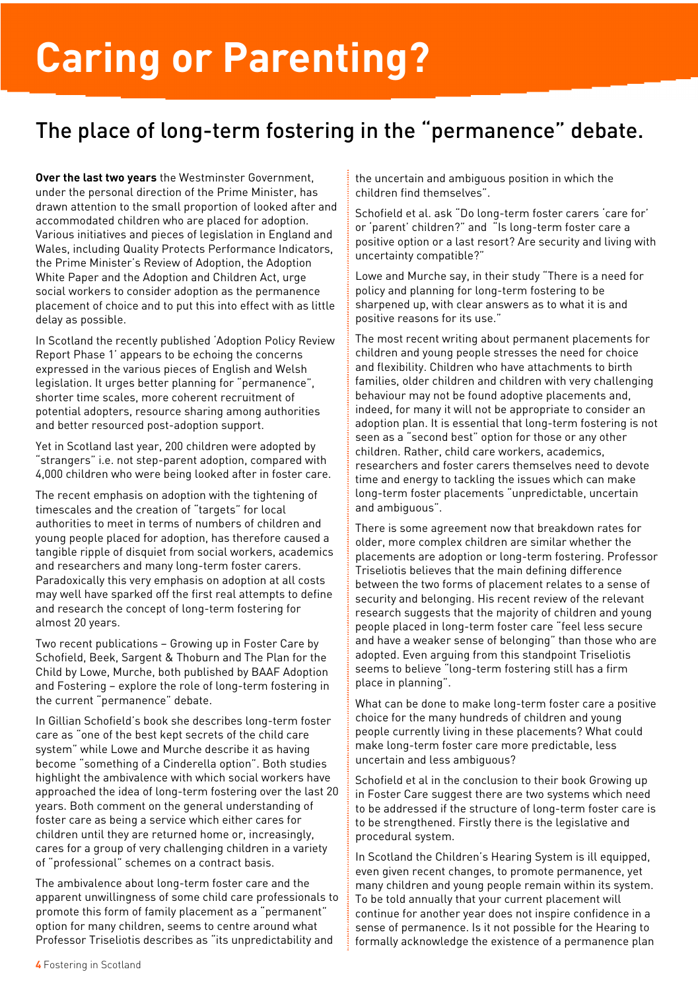# **Caring or Parenting?**

## The place of long-term fostering in the "permanence" debate.

**Over the last two years** the Westminster Government, under the personal direction of the Prime Minister, has drawn attention to the small proportion of looked after and accommodated children who are placed for adoption. Various initiatives and pieces of legislation in England and Wales, including Quality Protects Performance Indicators, the Prime Minister's Review of Adoption, the Adoption White Paper and the Adoption and Children Act, urge social workers to consider adoption as the permanence placement of choice and to put this into effect with as little delay as possible.

In Scotland the recently published 'Adoption Policy Review Report Phase 1' appears to be echoing the concerns expressed in the various pieces of English and Welsh legislation. It urges better planning for "permanence", shorter time scales, more coherent recruitment of potential adopters, resource sharing among authorities and better resourced post-adoption support.

Yet in Scotland last year, 200 children were adopted by "strangers" i.e. not step-parent adoption, compared with 4,000 children who were being looked after in foster care.

The recent emphasis on adoption with the tightening of timescales and the creation of "targets" for local authorities to meet in terms of numbers of children and young people placed for adoption, has therefore caused a tangible ripple of disquiet from social workers, academics and researchers and many long-term foster carers. Paradoxically this very emphasis on adoption at all costs may well have sparked off the first real attempts to define and research the concept of long-term fostering for almost 20 years.

Two recent publications – Growing up in Foster Care by Schofield, Beek, Sargent & Thoburn and The Plan for the Child by Lowe, Murche, both published by BAAF Adoption and Fostering – explore the role of long-term fostering in the current "permanence" debate.

In Gillian Schofield's book she describes long-term foster care as "one of the best kept secrets of the child care system" while Lowe and Murche describe it as having become "something of a Cinderella option". Both studies highlight the ambivalence with which social workers have approached the idea of long-term fostering over the last 20 years. Both comment on the general understanding of foster care as being a service which either cares for children until they are returned home or, increasingly, cares for a group of very challenging children in a variety of "professional" schemes on a contract basis.

The ambivalence about long-term foster care and the apparent unwillingness of some child care professionals to promote this form of family placement as a "permanent" option for many children, seems to centre around what Professor Triseliotis describes as "its unpredictability and

the uncertain and ambiguous position in which the children find themselves".

Schofield et al. ask "Do long-term foster carers 'care for' or 'parent' children?" and "Is long-term foster care a positive option or a last resort? Are security and living with uncertainty compatible?"

Lowe and Murche say, in their study "There is a need for policy and planning for long-term fostering to be sharpened up, with clear answers as to what it is and positive reasons for its use."

The most recent writing about permanent placements for children and young people stresses the need for choice and flexibility. Children who have attachments to birth families, older children and children with very challenging behaviour may not be found adoptive placements and, indeed, for many it will not be appropriate to consider an adoption plan. It is essential that long-term fostering is not seen as a "second best" option for those or any other children. Rather, child care workers, academics, researchers and foster carers themselves need to devote time and energy to tackling the issues which can make long-term foster placements "unpredictable, uncertain and ambiguous".

There is some agreement now that breakdown rates for older, more complex children are similar whether the placements are adoption or long-term fostering. Professor Triseliotis believes that the main defining difference between the two forms of placement relates to a sense of security and belonging. His recent review of the relevant research suggests that the majority of children and young people placed in long-term foster care "feel less secure and have a weaker sense of belonging" than those who are adopted. Even arguing from this standpoint Triseliotis seems to believe "long-term fostering still has a firm place in planning".

What can be done to make long-term foster care a positive choice for the many hundreds of children and young people currently living in these placements? What could make long-term foster care more predictable, less uncertain and less ambiguous?

Schofield et al in the conclusion to their book Growing up in Foster Care suggest there are two systems which need to be addressed if the structure of long-term foster care is to be strengthened. Firstly there is the legislative and procedural system.

In Scotland the Children's Hearing System is ill equipped, even given recent changes, to promote permanence, yet many children and young people remain within its system. To be told annually that your current placement will continue for another year does not inspire confidence in a sense of permanence. Is it not possible for the Hearing to formally acknowledge the existence of a permanence plan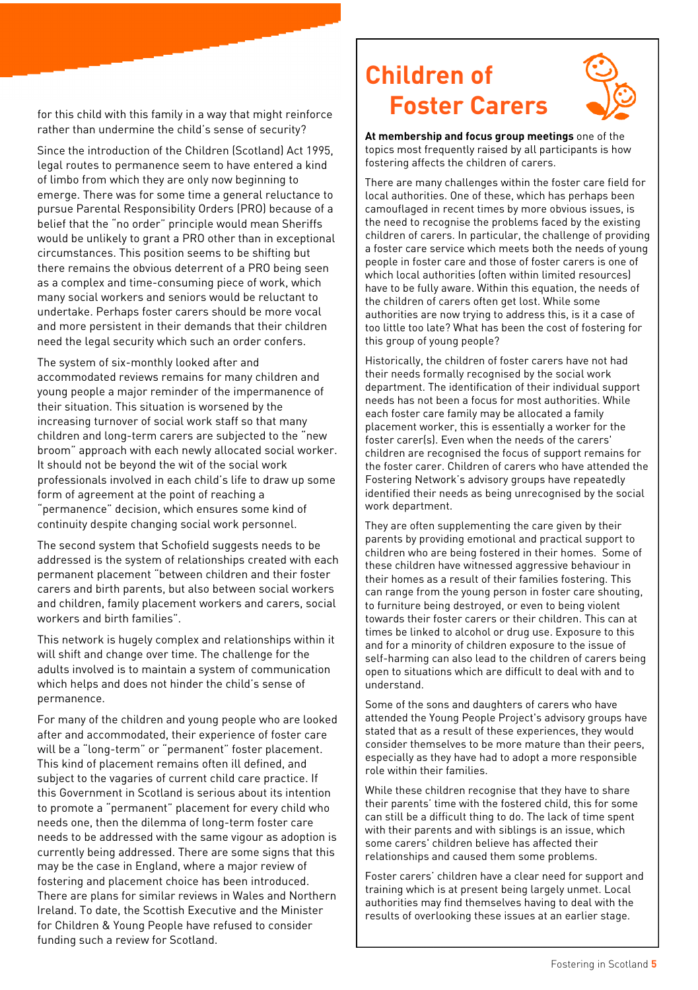for this child with this family in a way that might reinforce rather than undermine the child's sense of security?

Since the introduction of the Children (Scotland) Act 1995, legal routes to permanence seem to have entered a kind of limbo from which they are only now beginning to emerge. There was for some time a general reluctance to pursue Parental Responsibility Orders (PRO) because of a belief that the "no order" principle would mean Sheriffs would be unlikely to grant a PRO other than in exceptional circumstances. This position seems to be shifting but there remains the obvious deterrent of a PRO being seen as a complex and time-consuming piece of work, which many social workers and seniors would be reluctant to undertake. Perhaps foster carers should be more vocal and more persistent in their demands that their children need the legal security which such an order confers.

The system of six-monthly looked after and accommodated reviews remains for many children and young people a major reminder of the impermanence of their situation. This situation is worsened by the increasing turnover of social work staff so that many children and long-term carers are subjected to the "new broom" approach with each newly allocated social worker. It should not be beyond the wit of the social work professionals involved in each child's life to draw up some form of agreement at the point of reaching a "permanence" decision, which ensures some kind of continuity despite changing social work personnel.

The second system that Schofield suggests needs to be addressed is the system of relationships created with each permanent placement "between children and their foster carers and birth parents, but also between social workers and children, family placement workers and carers, social workers and birth families".

This network is hugely complex and relationships within it will shift and change over time. The challenge for the adults involved is to maintain a system of communication which helps and does not hinder the child's sense of permanence.

For many of the children and young people who are looked after and accommodated, their experience of foster care will be a "long-term" or "permanent" foster placement. This kind of placement remains often ill defined, and subject to the vagaries of current child care practice. If this Government in Scotland is serious about its intention to promote a "permanent" placement for every child who needs one, then the dilemma of long-term foster care needs to be addressed with the same vigour as adoption is currently being addressed. There are some signs that this may be the case in England, where a major review of fostering and placement choice has been introduced. There are plans for similar reviews in Wales and Northern Ireland. To date, the Scottish Executive and the Minister for Children & Young People have refused to consider funding such a review for Scotland.

## **Children of Foster Carers**



**At membership and focus group meetings** one of the topics most frequently raised by all participants is how fostering affects the children of carers.

There are many challenges within the foster care field for local authorities. One of these, which has perhaps been camouflaged in recent times by more obvious issues, is the need to recognise the problems faced by the existing children of carers. In particular, the challenge of providing a foster care service which meets both the needs of young people in foster care and those of foster carers is one of which local authorities (often within limited resources) have to be fully aware. Within this equation, the needs of the children of carers often get lost. While some authorities are now trying to address this, is it a case of too little too late? What has been the cost of fostering for this group of young people?

Historically, the children of foster carers have not had their needs formally recognised by the social work department. The identification of their individual support needs has not been a focus for most authorities. While each foster care family may be allocated a family placement worker, this is essentially a worker for the foster carer(s). Even when the needs of the carers' children are recognised the focus of support remains for the foster carer. Children of carers who have attended the Fostering Network's advisory groups have repeatedly identified their needs as being unrecognised by the social work department.

They are often supplementing the care given by their parents by providing emotional and practical support to children who are being fostered in their homes. Some of these children have witnessed aggressive behaviour in their homes as a result of their families fostering. This can range from the young person in foster care shouting, to furniture being destroyed, or even to being violent towards their foster carers or their children. This can at times be linked to alcohol or drug use. Exposure to this and for a minority of children exposure to the issue of self-harming can also lead to the children of carers being open to situations which are difficult to deal with and to understand.

Some of the sons and daughters of carers who have attended the Young People Project's advisory groups have stated that as a result of these experiences, they would consider themselves to be more mature than their peers, especially as they have had to adopt a more responsible role within their families.

While these children recognise that they have to share their parents' time with the fostered child, this for some can still be a difficult thing to do. The lack of time spent with their parents and with siblings is an issue, which some carers' children believe has affected their relationships and caused them some problems.

Foster carers' children have a clear need for support and training which is at present being largely unmet. Local authorities may find themselves having to deal with the results of overlooking these issues at an earlier stage.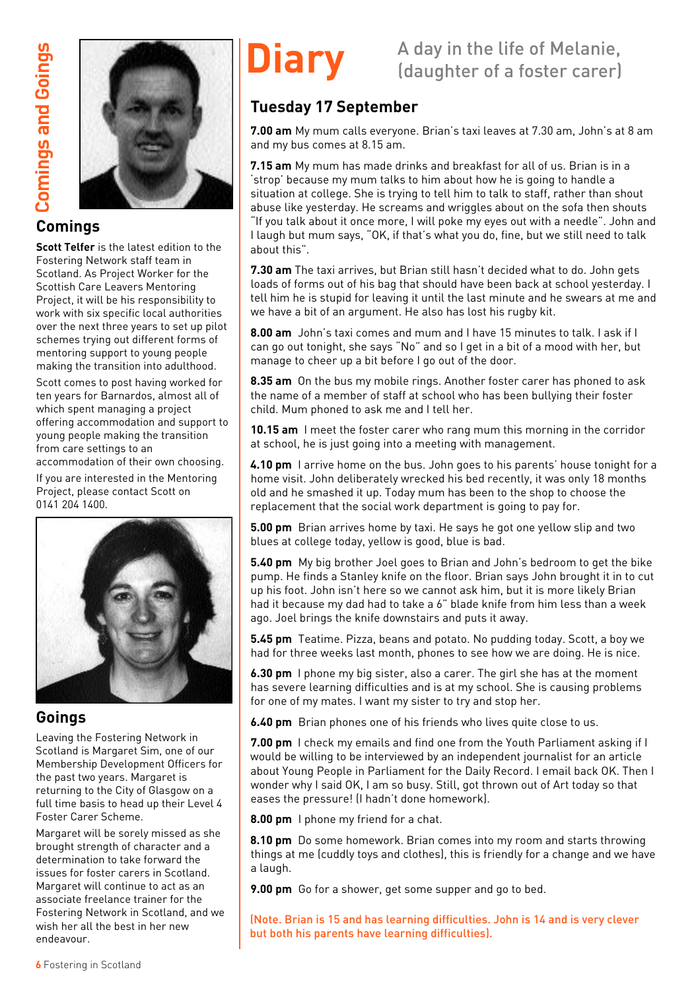

#### **Comings**

**Scott Telfer** is the latest edition to the Fostering Network staff team in Scotland. As Project Worker for the Scottish Care Leavers Mentoring Project, it will be his responsibility to work with six specific local authorities over the next three years to set up pilot schemes trying out different forms of mentoring support to young people making the transition into adulthood.

Scott comes to post having worked for ten years for Barnardos, almost all of which spent managing a project offering accommodation and support to young people making the transition from care settings to an accommodation of their own choosing.

If you are interested in the Mentoring Project, please contact Scott on 0141 204 1400.



#### **Goings**

Leaving the Fostering Network in Scotland is Margaret Sim, one of our Membership Development Officers for the past two years. Margaret is returning to the City of Glasgow on a full time basis to head up their Level 4 Foster Carer Scheme.

Margaret will be sorely missed as she brought strength of character and a determination to take forward the issues for foster carers in Scotland. Margaret will continue to act as an associate freelance trainer for the Fostering Network in Scotland, and we wish her all the best in her new endeavour.

## **Diary** A day in the life of Melanie,<br>
(daughter of a foster carer)

### **Tuesday 17 September**

**7.00 am** My mum calls everyone. Brian's taxi leaves at 7.30 am, John's at 8 am and my bus comes at 8.15 am.

**7.15 am** My mum has made drinks and breakfast for all of us. Brian is in a 'strop' because my mum talks to him about how he is going to handle a situation at college. She is trying to tell him to talk to staff, rather than shout abuse like yesterday. He screams and wriggles about on the sofa then shouts "If you talk about it once more, I will poke my eyes out with a needle". John and I laugh but mum says, "OK, if that's what you do, fine, but we still need to talk about this".

**7.30 am** The taxi arrives, but Brian still hasn't decided what to do. John gets loads of forms out of his bag that should have been back at school yesterday. I tell him he is stupid for leaving it until the last minute and he swears at me and we have a bit of an argument. He also has lost his rugby kit.

**8.00 am** John's taxi comes and mum and I have 15 minutes to talk. I ask if I can go out tonight, she says "No" and so I get in a bit of a mood with her, but manage to cheer up a bit before I go out of the door.

**8.35 am** On the bus my mobile rings. Another foster carer has phoned to ask the name of a member of staff at school who has been bullying their foster child. Mum phoned to ask me and I tell her.

**10.15 am** I meet the foster carer who rang mum this morning in the corridor at school, he is just going into a meeting with management.

**4.10 pm** I arrive home on the bus. John goes to his parents' house tonight for a home visit. John deliberately wrecked his bed recently, it was only 18 months old and he smashed it up. Today mum has been to the shop to choose the replacement that the social work department is going to pay for.

**5.00 pm** Brian arrives home by taxi. He says he got one yellow slip and two blues at college today, yellow is good, blue is bad.

**5.40 pm** My big brother Joel goes to Brian and John's bedroom to get the bike pump. He finds a Stanley knife on the floor. Brian says John brought it in to cut up his foot. John isn't here so we cannot ask him, but it is more likely Brian had it because my dad had to take a 6" blade knife from him less than a week ago. Joel brings the knife downstairs and puts it away.

**5.45 pm** Teatime. Pizza, beans and potato. No pudding today. Scott, a boy we had for three weeks last month, phones to see how we are doing. He is nice.

**6.30 pm** I phone my big sister, also a carer. The girl she has at the moment has severe learning difficulties and is at my school. She is causing problems for one of my mates. I want my sister to try and stop her.

**6.40 pm** Brian phones one of his friends who lives quite close to us.

**7.00 pm** I check my emails and find one from the Youth Parliament asking if I would be willing to be interviewed by an independent journalist for an article about Young People in Parliament for the Daily Record. I email back OK. Then I wonder why I said OK, I am so busy. Still, got thrown out of Art today so that eases the pressure! (I hadn't done homework).

**8.00 pm** I phone my friend for a chat.

**8.10 pm** Do some homework. Brian comes into my room and starts throwing things at me (cuddly toys and clothes), this is friendly for a change and we have a laugh.

**9.00 pm** Go for a shower, get some supper and go to bed.

(Note. Brian is 15 and has learning difficulties. John is 14 and is very clever but both his parents have learning difficulties).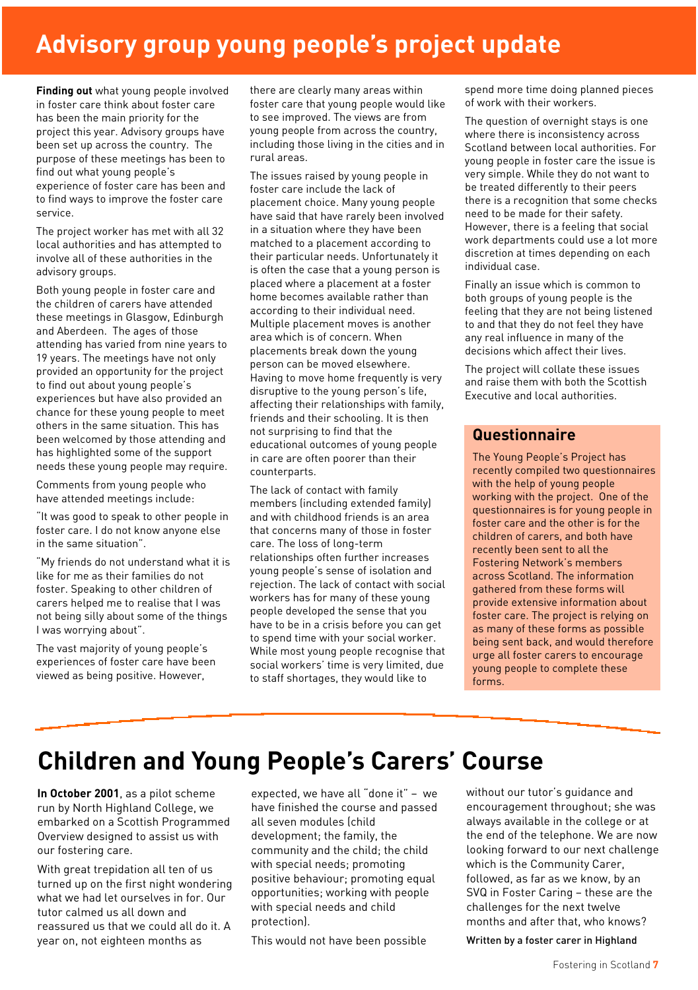## **Advisory group young people's project update**

**Finding out** what young people involved in foster care think about foster care has been the main priority for the project this year. Advisory groups have been set up across the country. The purpose of these meetings has been to find out what young people's experience of foster care has been and to find ways to improve the foster care service.

The project worker has met with all 32 local authorities and has attempted to involve all of these authorities in the advisory groups.

Both young people in foster care and the children of carers have attended these meetings in Glasgow, Edinburgh and Aberdeen. The ages of those attending has varied from nine years to 19 years. The meetings have not only provided an opportunity for the project to find out about young people's experiences but have also provided an chance for these young people to meet others in the same situation. This has been welcomed by those attending and has highlighted some of the support needs these young people may require.

Comments from young people who have attended meetings include:

"It was good to speak to other people in foster care. I do not know anyone else in the same situation".

"My friends do not understand what it is like for me as their families do not foster. Speaking to other children of carers helped me to realise that I was not being silly about some of the things I was worrying about".

The vast majority of young people's experiences of foster care have been viewed as being positive. However,

there are clearly many areas within foster care that young people would like to see improved. The views are from young people from across the country, including those living in the cities and in rural areas.

The issues raised by young people in foster care include the lack of placement choice. Many young people have said that have rarely been involved in a situation where they have been matched to a placement according to their particular needs. Unfortunately it is often the case that a young person is placed where a placement at a foster home becomes available rather than according to their individual need. Multiple placement moves is another area which is of concern. When placements break down the young person can be moved elsewhere. Having to move home frequently is very disruptive to the young person's life, affecting their relationships with family, friends and their schooling. It is then not surprising to find that the educational outcomes of young people in care are often poorer than their counterparts.

The lack of contact with family members (including extended family) and with childhood friends is an area that concerns many of those in foster care. The loss of long-term relationships often further increases young people's sense of isolation and rejection. The lack of contact with social workers has for many of these young people developed the sense that you have to be in a crisis before you can get to spend time with your social worker. While most young people recognise that social workers' time is very limited, due to staff shortages, they would like to

spend more time doing planned pieces of work with their workers.

The question of overnight stays is one where there is inconsistency across Scotland between local authorities. For young people in foster care the issue is very simple. While they do not want to be treated differently to their peers there is a recognition that some checks need to be made for their safety. However, there is a feeling that social work departments could use a lot more discretion at times depending on each individual case.

Finally an issue which is common to both groups of young people is the feeling that they are not being listened to and that they do not feel they have any real influence in many of the decisions which affect their lives.

The project will collate these issues and raise them with both the Scottish Executive and local authorities.

#### **Questionnaire**

The Young People's Project has recently compiled two questionnaires with the help of young people working with the project. One of the questionnaires is for young people in foster care and the other is for the children of carers, and both have recently been sent to all the Fostering Network's members across Scotland. The information gathered from these forms will provide extensive information about foster care. The project is relying on as many of these forms as possible being sent back, and would therefore urge all foster carers to encourage young people to complete these forms.

## **Children and Young People's Carers' Course**

**In October 2001**, as a pilot scheme run by North Highland College, we embarked on a Scottish Programmed Overview designed to assist us with our fostering care.

With great trepidation all ten of us turned up on the first night wondering what we had let ourselves in for. Our tutor calmed us all down and reassured us that we could all do it. A year on, not eighteen months as

expected, we have all "done it" – we have finished the course and passed all seven modules (child development; the family, the community and the child; the child with special needs; promoting positive behaviour; promoting equal opportunities; working with people with special needs and child protection).

This would not have been possible

without our tutor's guidance and encouragement throughout; she was always available in the college or at the end of the telephone. We are now looking forward to our next challenge which is the Community Carer, followed, as far as we know, by an SVQ in Foster Caring – these are the challenges for the next twelve months and after that, who knows?

Written by a foster carer in Highland